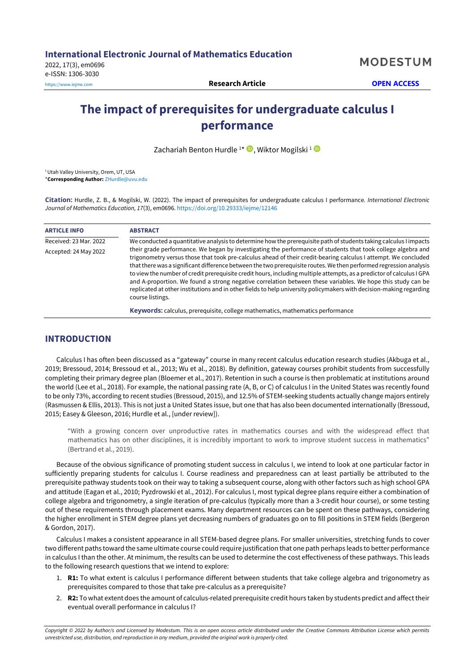# **The impact of prerequisites for undergraduate calculus I performance**

Zachariah Benton Hurdle<sup>1\*</sup> <sup>D</sup>, Wiktor Mogilski<sup>1</sup>

<sup>1</sup> Utah Valley University, Orem, UT, USA \***Corresponding Author:** [ZHurdle@uvu.edu](mailto:ZHurdle@uvu.edu)

**Citation:** Hurdle, Z. B., & Mogilski, W. (2022). The impact of prerequisites for undergraduate calculus I performance. *International Electronic Journal of Mathematics Education, 17*(3), em0696. <https://doi.org/10.29333/iejme/12146>

| <b>ARTICLE INFO</b>    | <b>ABSTRACT</b>                                                                                                                                                                                                                                                                                                                                                                                                                                                                                                                                                                                                                                                                                                                          |  |  |  |  |  |  |  |  |
|------------------------|------------------------------------------------------------------------------------------------------------------------------------------------------------------------------------------------------------------------------------------------------------------------------------------------------------------------------------------------------------------------------------------------------------------------------------------------------------------------------------------------------------------------------------------------------------------------------------------------------------------------------------------------------------------------------------------------------------------------------------------|--|--|--|--|--|--|--|--|
| Received: 23 Mar. 2022 | We conducted a quantitative analysis to determine how the prerequisite path of students taking calculus I impacts                                                                                                                                                                                                                                                                                                                                                                                                                                                                                                                                                                                                                        |  |  |  |  |  |  |  |  |
| Accepted: 24 May 2022  | their grade performance. We began by investigating the performance of students that took college algebra and<br>trigonometry versus those that took pre-calculus ahead of their credit-bearing calculus I attempt. We concluded<br>that there was a significant difference between the two prerequisite routes. We then performed regression analysis<br>to view the number of credit prerequisite credit hours, including multiple attempts, as a predictor of calculus I GPA<br>and A-proportion. We found a strong negative correlation between these variables. We hope this study can be<br>replicated at other institutions and in other fields to help university policymakers with decision-making regarding<br>course listings. |  |  |  |  |  |  |  |  |
|                        | <b>Keywords:</b> calculus, prerequisite, college mathematics, mathematics performance                                                                                                                                                                                                                                                                                                                                                                                                                                                                                                                                                                                                                                                    |  |  |  |  |  |  |  |  |

# **INTRODUCTION**

Calculus I has often been discussed as a "gateway" course in many recent calculus education research studies (Akbuga et al., 2019; Bressoud, 2014; Bressoud et al., 2013; Wu et al., 2018). By definition, gateway courses prohibit students from successfully completing their primary degree plan (Bloemer et al., 2017). Retention in such a course is then problematic at institutions around the world (Lee et al., 2018). For example, the national passing rate (A, B, or C) of calculus I in the United States was recently found to be only 73%, according to recent studies (Bressoud, 2015), and 12.5% of STEM-seeking students actually change majors entirely (Rasmussen & Ellis, 2013). This is not just a United States issue, but one that has also been documented internationally (Bressoud, 2015; Easey & Gleeson, 2016; Hurdle et al., [under review]).

"With a growing concern over unproductive rates in mathematics courses and with the widespread effect that mathematics has on other disciplines, it is incredibly important to work to improve student success in mathematics" (Bertrand et al., 2019).

Because of the obvious significance of promoting student success in calculus I, we intend to look at one particular factor in sufficiently preparing students for calculus I. Course readiness and preparedness can at least partially be attributed to the prerequisite pathway students took on their way to taking a subsequent course, along with other factors such as high school GPA and attitude (Eagan et al., 2010; Pyzdrowski et al., 2012). For calculus I, most typical degree plans require either a combination of college algebra and trigonometry, a single iteration of pre-calculus (typically more than a 3-credit hour course), or some testing out of these requirements through placement exams. Many department resources can be spent on these pathways, considering the higher enrollment in STEM degree plans yet decreasing numbers of graduates go on to fill positions in STEM fields (Bergeron & Gordon, 2017).

Calculus I makes a consistent appearance in all STEM-based degree plans. For smaller universities, stretching funds to cover two different paths toward the same ultimate course could require justification that one path perhaps leads to better performance in calculus I than the other. At minimum, the results can be used to determine the cost effectiveness of these pathways. This leads to the following research questions that we intend to explore:

- 1. **R1:** To what extent is calculus I performance different between students that take college algebra and trigonometry as prerequisites compared to those that take pre-calculus as a prerequisite?
- 2. **R2:** To what extent does the amount of calculus-related prerequisite credit hours taken by students predict and affect their eventual overall performance in calculus I?

Copyright © 2022 by Author/s and Licensed by Modestum. This is an open access article distributed under the Creative Commons Attribution License which permits *unrestricted use, distribution, and reproduction in any medium, provided the original work is properly cited.*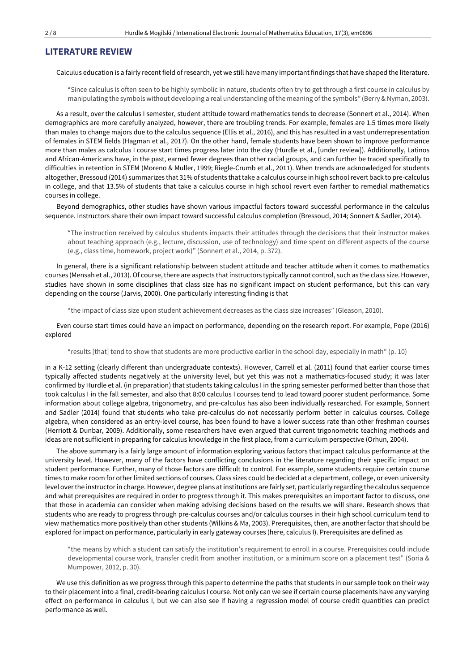### **LITERATURE REVIEW**

Calculus education is a fairly recent field of research, yet we still have many important findings that have shaped the literature.

"Since calculus is often seen to be highly symbolic in nature, students often try to get through a first course in calculus by manipulating the symbols without developing a real understanding ofthe meaning ofthe symbols" (Berry & Nyman, 2003).

As a result, over the calculus I semester, student attitude toward mathematics tends to decrease (Sonnert et al., 2014). When demographics are more carefully analyzed, however, there are troubling trends. For example, females are 1.5 times more likely than males to change majors due to the calculus sequence (Ellis et al., 2016), and this has resulted in a vast underrepresentation of females in STEM fields (Hagman et al., 2017). On the other hand, female students have been shown to improve performance more than males as calculus I course start times progress later into the day (Hurdle et al., [under review]). Additionally, Latinos and African-Americans have, in the past, earned fewer degrees than other racial groups, and can further be traced specifically to difficulties in retention in STEM (Moreno & Muller, 1999; Riegle-Crumb et al., 2011). When trends are acknowledged for students altogether, Bressoud (2014) summarizes that 31% of students thattake a calculus course in high schoolrevert back to pre-calculus in college, and that 13.5% of students that take a calculus course in high school revert even farther to remedial mathematics courses in college.

Beyond demographics, other studies have shown various impactful factors toward successful performance in the calculus sequence. Instructors share their own impact toward successful calculus completion (Bressoud, 2014; Sonnert & Sadler, 2014).

"The instruction received by calculus students impacts their attitudes through the decisions that their instructor makes about teaching approach (e.g., lecture, discussion, use of technology) and time spent on different aspects of the course (e.g., class time, homework, project work)" (Sonnert et al., 2014, p. 372).

In general, there is a significant relationship between student attitude and teacher attitude when it comes to mathematics courses (Mensah et al., 2013). Of course, there are aspects that instructors typically cannot control, such as the class size. However, studies have shown in some disciplines that class size has no significant impact on student performance, but this can vary depending on the course (Jarvis, 2000). One particularly interesting finding is that

"the impact of class size upon student achievement decreases as the class size increases" (Gleason, 2010).

Even course start times could have an impact on performance, depending on the research report. For example, Pope (2016) explored

"results [that] tend to show that students are more productive earlier in the school day, especially in math" (p. 10)

in a K-12 setting (clearly different than undergraduate contexts). However, Carrell et al. (2011) found that earlier course times typically affected students negatively at the university level, but yet this was not a mathematics-focused study; it was later confirmed by Hurdle et al. (in preparation) that students taking calculus I in the spring semester performed better than those that took calculus I in the fall semester, and also that 8:00 calculus I courses tend to lead toward poorer student performance. Some information about college algebra, trigonometry, and pre-calculus has also been individually researched. For example, Sonnert and Sadler (2014) found that students who take pre-calculus do not necessarily perform better in calculus courses. College algebra, when considered as an entry-level course, has been found to have a lower success rate than other freshman courses (Herriott & Dunbar, 2009). Additionally, some researchers have even argued that current trigonometric teaching methods and ideas are not sufficient in preparing for calculus knowledge in the first place, from a curriculum perspective (Orhun, 2004).

The above summary is a fairly large amount of information exploring various factors that impact calculus performance at the university level. However, many of the factors have conflicting conclusions in the literature regarding their specific impact on student performance. Further, many of those factors are difficult to control. For example, some students require certain course times to make room for other limited sections of courses. Class sizes could be decided at a department, college, or even university level overthe instructor in charge. However, degree plans atinstitutions are fairly set, particularly regarding the calculus sequence and what prerequisites are required in order to progress through it. This makes prerequisites an important factor to discuss, one that those in academia can consider when making advising decisions based on the results we will share. Research shows that students who are ready to progress through pre-calculus courses and/or calculus courses in their high school curriculum tend to view mathematics more positively than other students (Wilkins & Ma, 2003). Prerequisites, then, are another factor that should be explored for impact on performance, particularly in early gateway courses (here, calculus I). Prerequisites are defined as

"the means by which a student can satisfy the institution's requirement to enroll in a course. Prerequisites could include developmental course work, transfer credit from another institution, or a minimum score on a placement test" (Soria & Mumpower, 2012, p. 30).

We use this definition as we progress through this paper to determine the paths that students in our sample took on their way to their placement into a final, credit-bearing calculus I course. Not only can we see if certain course placements have any varying effect on performance in calculus I, but we can also see if having a regression model of course credit quantities can predict performance as well.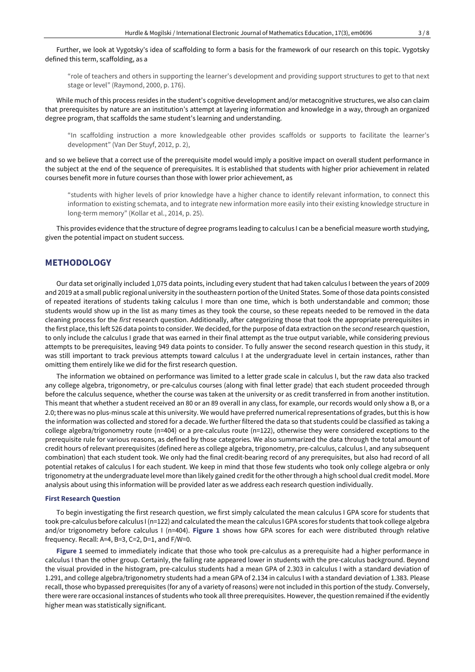Further, we look at Vygotsky's idea of scaffolding to form a basis for the framework of our research on this topic. Vygotsky defined this term, scaffolding, as a

"role of teachers and others in supporting the learner's development and providing support structures to get to that next stage or level" (Raymond, 2000, p. 176).

While much of this process resides in the student's cognitive development and/or metacognitive structures, we also can claim that prerequisites by nature are an institution's attempt at layering information and knowledge in a way, through an organized degree program, that scaffolds the same student's learning and understanding.

"In scaffolding instruction a more knowledgeable other provides scaffolds or supports to facilitate the learner's development" (Van Der Stuyf, 2012, p. 2),

and so we believe that a correct use of the prerequisite model would imply a positive impact on overall student performance in the subject at the end of the sequence of prerequisites. It is established that students with higher prior achievement in related courses benefit more in future courses than those with lower prior achievement, as

"students with higher levels of prior knowledge have a higher chance to identify relevant information, to connect this information to existing schemata, and to integrate new information more easily into their existing knowledge structure in long-term memory" (Kollar et al., 2014, p. 25).

This provides evidence that the structure of degree programs leading to calculus I can be a beneficial measure worth studying, given the potential impact on student success.

## **METHODOLOGY**

Our data set originally included 1,075 data points, including every student that had taken calculus I between the years of 2009 and 2019 at a small public regional university in the southeastern portion of the United States. Some of those data points consisted of repeated iterations of students taking calculus I more than one time, which is both understandable and common; those students would show up in the list as many times as they took the course, so these repeats needed to be removed in the data cleaning process for the *first* research question. Additionally, after categorizing those that took the appropriate prerequisites in the first place, this left 526 data points to consider. We decided, for the purpose of data extraction on the *second* research question, to only include the calculus I grade that was earned in their final attempt as the true output variable, while considering previous attempts to be prerequisites, leaving 949 data points to consider. To fully answer the second research question in this study, it was still important to track previous attempts toward calculus I at the undergraduate level in certain instances, rather than omitting them entirely like we did for the first research question.

The information we obtained on performance was limited to a letter grade scale in calculus I, but the raw data also tracked any college algebra, trigonometry, or pre-calculus courses (along with final letter grade) that each student proceeded through before the calculus sequence, whether the course was taken at the university or as credit transferred in from another institution. This meant that whether a student received an 80 or an 89 overall in any class, for example, our records would only show a B, or a 2.0; there was no plus-minus scale at this university. We would have preferred numerical representations of grades, but this is how the information was collected and stored for a decade. We further filtered the data so that students could be classified as taking a college algebra/trigonometry route (n=404) or a pre-calculus route (n=122), otherwise they were considered exceptions to the prerequisite rule for various reasons, as defined by those categories. We also summarized the data through the total amount of credit hours of relevant prerequisites (defined here as college algebra, trigonometry, pre-calculus, calculus I, and any subsequent combination) that each student took. We only had the final credit-bearing record of any prerequisites, but also had record of all potential retakes of calculus I for each student. We keep in mind that those few students who took only college algebra or only trigonometry at the undergraduate level more than likely gained credit for the other through a high school dual credit model. More analysis about using this information will be provided later as we address each research question individually.

#### **First Research Question**

To begin investigating the first research question, we first simply calculated the mean calculus I GPA score for students that took pre-calculus before calculus I (n=122) and calculated the mean the calculus I GPA scores for students that took college algebra and/or trigonometry before calculus I (n=404). **Figure 1** shows how GPA scores for each were distributed through relative frequency. Recall: A=4, B=3, C=2, D=1, and F/W=0.

**Figure 1** seemed to immediately indicate that those who took pre-calculus as a prerequisite had a higher performance in calculus I than the other group. Certainly, the failing rate appeared lower in students with the pre-calculus background. Beyond the visual provided in the histogram, pre-calculus students had a mean GPA of 2.303 in calculus I with a standard deviation of 1.291, and college algebra/trigonometry students had a mean GPA of 2.134 in calculus I with a standard deviation of 1.383. Please recall, those who bypassed prerequisites (for any of a variety of reasons) were not included in this portion of the study. Conversely, there were rare occasional instances of students who took all three prerequisites. However, the question remained if the evidently higher mean was statistically significant.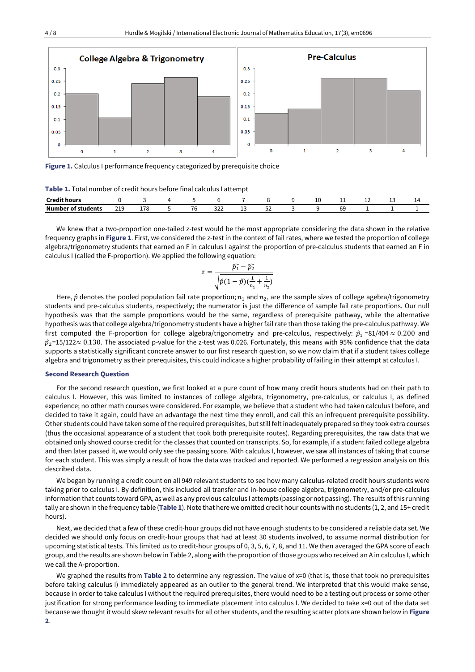

**Figure 1.** Calculus I performance frequency categorized by prerequisite choice

| <b>Table 1.</b> Total number of credit hours before final calculus I attempt |  |
|------------------------------------------------------------------------------|--|
|------------------------------------------------------------------------------|--|

| $\cdots$<br>$\sim$<br>Crodit boure              |                         |                    |                          |                      |         |          | ∸ | --       | -- | -- |  |
|-------------------------------------------------|-------------------------|--------------------|--------------------------|----------------------|---------|----------|---|----------|----|----|--|
| Numb <sub>'</sub><br>________<br>er of students | $\n 310\n$<br>712<br>__ | $-70$<br>ᅩᅵC<br>__ | $\overline{\phantom{a}}$ | $\sim$<br>ے ے<br>___ | -<br>__ | - -<br>ັ |   | ~~<br>৩৬ |    |    |  |

We knew that a two-proportion one-tailed z-test would be the most appropriate considering the data shown in the relative frequency graphs in **Figure 1**. First, we considered the z-test in the context of fail rates, where we tested the proportion of college algebra/trigonometry students that earned an F in calculus I against the proportion of pre-calculus students that earned an F in calculus I (called the F-proportion). We applied the following equation:

$$
z = \frac{\widehat{p_1} - \widehat{p_2}}{\sqrt{\widehat{p}(1-\widehat{p})(\frac{1}{n_1} + \frac{1}{n_2})}}
$$

Here,  $\hat{p}$  denotes the pooled population fail rate proportion;  $n_1$  and  $n_2$ , are the sample sizes of college agebra/trigonometry students and pre-calculus students, respectively; the numerator is just the difference of sample fail rate proportions. Our null hypothesis was that the sample proportions would be the same, regardless of prerequisite pathway, while the alternative hypothesis was that college algebra/trigonometry students have a higher fail rate than those taking the pre-calculus pathway. We first computed the F-proportion for college algebra/trigonometry and pre-calculus, respectively:  $\hat{p}_1$  =81/404  $\approx$  0.200 and  $\hat{p}_2$ =15/122 $\approx$  0.130. The associated p-value for the z-test was 0.026. Fortunately, this means with 95% confidence that the data supports a statistically significant concrete answer to our first research question, so we now claim that if a student takes college algebra and trigonometry as their prerequisites, this could indicate a higher probability of failing in their attempt at calculus I.

#### **Second Research Question**

For the second research question, we first looked at a pure count of how many credit hours students had on their path to calculus I. However, this was limited to instances of college algebra, trigonometry, pre-calculus, or calculus I, as defined experience; no other math courses were considered. For example, we believe that a student who had taken calculus I before, and decided to take it again, could have an advantage the next time they enroll, and call this an infrequent prerequisite possibility. Other students could have taken some of the required prerequisites, but still feltinadequately prepared so they took extra courses (thus the occasional appearance of a student that took both prerequisite routes). Regarding prerequisites, the raw data that we obtained only showed course credit for the classes that counted on transcripts. So, for example, if a student failed college algebra and then later passed it, we would only see the passing score. With calculus I, however, we saw all instances of taking that course for each student. This was simply a result of how the data was tracked and reported. We performed a regression analysis on this described data.

We began by running a credit count on all 949 relevant students to see how many calculus-related credit hours students were taking prior to calculus I. By definition, this included all transfer and in-house college algebra, trigonometry, and/or pre-calculus information that counts toward GPA, aswell as any previous calculus I attempts (passing or not passing). The results ofthis running tally are shown in the frequency table (**Table 1**). Note that here we omitted credit hour counts with no students (1, 2, and 15+ credit hours).

Next, we decided that a few of these credit-hour groups did not have enough students to be considered a reliable data set. We decided we should only focus on credit-hour groups that had at least 30 students involved, to assume normal distribution for upcoming statistical tests. This limited us to credit-hour groups of 0, 3, 5, 6, 7, 8, and 11. We then averaged the GPA score of each group, and the results are shown below in Table 2, along with the proportion of those groups who received an A in calculus I, which we call the A-proportion.

We graphed the results from **Table 2** to determine any regression. The value of x=0 (that is, those that took no prerequisites before taking calculus I) immediately appeared as an outlier to the general trend. We interpreted that this would make sense, because in order to take calculus I without the required prerequisites, there would need to be a testing out process or some other justification for strong performance leading to immediate placement into calculus I. We decided to take x=0 out of the data set because we thought it would skew relevantresults for all other students, and the resulting scatter plots are shown below in **Figure 2**.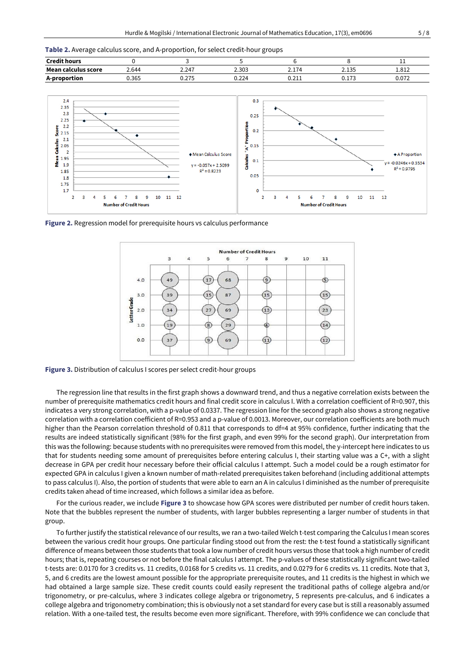**Table 2.** Average calculus score, and A-proportion, for select credit-hour groups





**Figure 2.** Regression model for prerequisite hours vs calculus performance



**Figure 3.** Distribution of calculus I scores per select credit-hour groups

The regression line that results in the first graph shows a downward trend, and thus a negative correlation exists between the number of prerequisite mathematics credit hours and final credit score in calculus I. With a correlation coefficient of R=0.907, this indicates a very strong correlation, with a p-value of 0.0337. The regression line for the second graph also shows a strong negative correlation with a correlation coefficient of R=0.953 and a p-value of 0.0013. Moreover, our correlation coefficients are both much higher than the Pearson correlation threshold of 0.811 that corresponds to df=4 at 95% confidence, further indicating that the results are indeed statistically significant (98% for the first graph, and even 99% for the second graph). Our interpretation from this was the following: because students with no prerequisites were removed from this model, the y-intercept here indicates to us that for students needing some amount of prerequisites before entering calculus I, their starting value was a C+, with a slight decrease in GPA per credit hour necessary before their official calculus I attempt. Such a model could be a rough estimator for expected GPA in calculus I given a known number of math-related prerequisites taken beforehand (including additional attempts to pass calculus I). Also, the portion of students that were able to earn an A in calculus I diminished as the number of prerequisite credits taken ahead of time increased, which follows a similar idea as before.

For the curious reader, we include **Figure 3** to showcase how GPA scores were distributed per number of credit hours taken. Note that the bubbles represent the number of students, with larger bubbles representing a larger number of students in that group.

To further justify the statistical relevance of our results, we ran a two-tailed Welch t-test comparing the Calculus I mean scores between the various credit hour groups. One particular finding stood out from the rest: the t-test found a statistically significant difference of means between those students that took a low number of credit hours versus those that took a high number of credit hours; that is, repeating courses or not before the final calculus I attempt. The p-values of these statistically significant two-tailed t-tests are: 0.0170 for 3 credits vs. 11 credits, 0.0168 for 5 credits vs. 11 credits, and 0.0279 for 6 credits vs. 11 credits. Note that 3, 5, and 6 credits are the lowest amount possible for the appropriate prerequisite routes, and 11 credits is the highest in which we had obtained a large sample size. These credit counts could easily represent the traditional paths of college algebra and/or trigonometry, or pre-calculus, where 3 indicates college algebra or trigonometry, 5 represents pre-calculus, and 6 indicates a college algebra and trigonometry combination; this is obviously not a set standard for every case but is still a reasonably assumed relation. With a one-tailed test, the results become even more significant. Therefore, with 99% confidence we can conclude that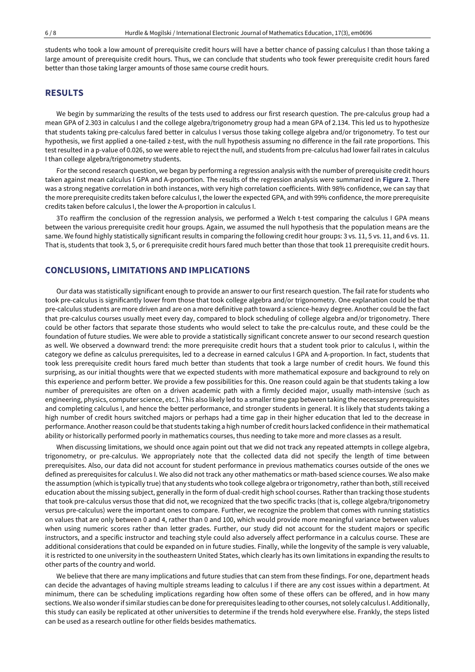students who took a low amount of prerequisite credit hours will have a better chance of passing calculus I than those taking a large amount of prerequisite credit hours. Thus, we can conclude that students who took fewer prerequisite credit hours fared better than those taking larger amounts of those same course credit hours.

# **RESULTS**

We begin by summarizing the results of the tests used to address our first research question. The pre-calculus group had a mean GPA of 2.303 in calculus I and the college algebra/trigonometry group had a mean GPA of 2.134. This led us to hypothesize that students taking pre-calculus fared better in calculus I versus those taking college algebra and/or trigonometry. To test our hypothesis, we first applied a one-tailed z-test, with the null hypothesis assuming no difference in the fail rate proportions. This test resulted in a p-value of 0.026, so we were able to reject the null, and students from pre-calculus had lower fail rates in calculus I than college algebra/trigonometry students.

For the second research question, we began by performing a regression analysis with the number of prerequisite credit hours taken against mean calculus I GPA and A-proportion. The results of the regression analysis were summarized in **Figure 2**. There was a strong negative correlation in both instances, with very high correlation coefficients. With 98% confidence, we can say that the more prerequisite credits taken before calculus I, the lower the expected GPA, and with 99% confidence, the more prerequisite credits taken before calculus I, the lower the A-proportion in calculus I.

3To reaffirm the conclusion of the regression analysis, we performed a Welch t-test comparing the calculus I GPA means between the various prerequisite credit hour groups. Again, we assumed the null hypothesis that the population means are the same. We found highly statistically significant results in comparing the following credit hour groups: 3 vs. 11, 5 vs. 11, and 6 vs. 11. That is, students that took 3, 5, or 6 prerequisite credit hours fared much better than those that took 11 prerequisite credit hours.

### **CONCLUSIONS, LIMITATIONS AND IMPLICATIONS**

Our data was statistically significant enough to provide an answer to our first research question. The fail rate for students who took pre-calculus is significantly lower from those that took college algebra and/or trigonometry. One explanation could be that pre-calculus students are more driven and are on a more definitive path toward a science-heavy degree. Another could be the fact that pre-calculus courses usually meet every day, compared to block scheduling of college algebra and/or trigonometry. There could be other factors that separate those students who would select to take the pre-calculus route, and these could be the foundation of future studies. We were able to provide a statistically significant concrete answer to our second research question as well. We observed a downward trend: the more prerequisite credit hours that a student took prior to calculus I, within the category we define as calculus prerequisites, led to a decrease in earned calculus I GPA and A-proportion. In fact, students that took less prerequisite credit hours fared much better than students that took a large number of credit hours. We found this surprising, as our initial thoughts were that we expected students with more mathematical exposure and background to rely on this experience and perform better. We provide a few possibilities for this. One reason could again be that students taking a low number of prerequisites are often on a driven academic path with a firmly decided major, usually math-intensive (such as engineering, physics, computer science, etc.). This also likely led to a smallertime gap between taking the necessary prerequisites and completing calculus I, and hence the better performance, and stronger students in general. It is likely that students taking a high number of credit hours switched majors or perhaps had a time gap in their higher education that led to the decrease in performance. Anotherreason could be that students taking a high number of credit hours lacked confidence in their mathematical ability or historically performed poorly in mathematics courses, thus needing to take more and more classes as a result.

When discussing limitations, we should once again point out that we did not track any repeated attempts in college algebra, trigonometry, or pre-calculus. We appropriately note that the collected data did not specify the length of time between prerequisites. Also, our data did not account for student performance in previous mathematics courses outside of the ones we defined as prerequisites for calculus I. We also did not track any other mathematics or math-based science courses. We also make the assumption (which is typically true) that any students who took college algebra or trigonometry, rather than both, still received education about the missing subject, generally in the form of dual-credit high school courses. Rather than tracking those students that took pre-calculus versus those that did not, we recognized that the two specific tracks (that is, college algebra/trigonometry versus pre-calculus) were the important ones to compare. Further, we recognize the problem that comes with running statistics on values that are only between 0 and 4, rather than 0 and 100, which would provide more meaningful variance between values when using numeric scores rather than letter grades. Further, our study did not account for the student majors or specific instructors, and a specific instructor and teaching style could also adversely affect performance in a calculus course. These are additional considerations that could be expanded on in future studies. Finally, while the longevity of the sample is very valuable, it is restricted to one university in the southeastern United States, which clearly has its own limitations in expanding the results to other parts of the country and world.

We believe that there are many implications and future studies that can stem from these findings. For one, department heads can decide the advantages of having multiple streams leading to calculus I if there are any cost issues within a department. At minimum, there can be scheduling implications regarding how often some of these offers can be offered, and in how many sections.We also wonderif similar studies can be done for prerequisites leading to other courses, not solely calculus I. Additionally, this study can easily be replicated at other universities to determine if the trends hold everywhere else. Frankly, the steps listed can be used as a research outline for other fields besides mathematics.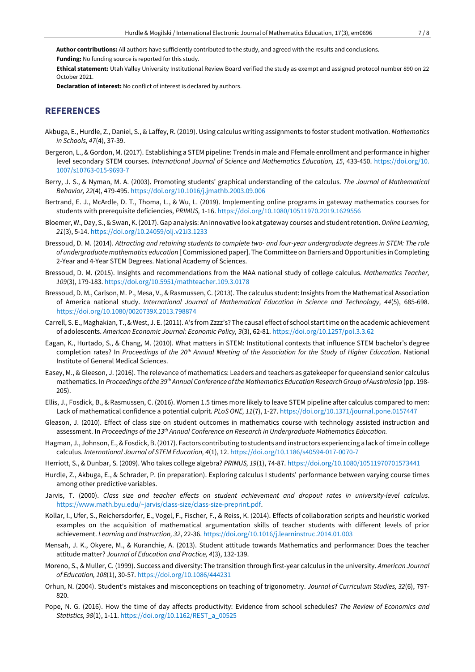**Author contributions:** All authors have sufficiently contributed to the study, and agreed with the results and conclusions.

**Funding:** No funding source is reported for this study.

**Ethical statement:** Utah Valley University Institutional Review Board verified the study as exempt and assigned protocol number 890 on 22 October 2021.

**Declaration of interest:** No conflict of interest is declared by authors.

# **REFERENCES**

- Akbuga, E., Hurdle, Z., Daniel, S., & Laffey, R. (2019). Using calculus writing assignments to foster student motivation. *Mathematics in Schools, 47*(4), 37-39.
- Bergeron, L., & Gordon, M. (2017). Establishing a STEM pipeline: Trends in male and Ffemale enrollment and performance in higher level secondary STEM courses. *International Journal of Science and Mathematics Education, 15*, 433-450. [https://doi.org/10.](https://doi.org/10.1007/s10763-015-9693-7) [1007/s10763-015-9693-7](https://doi.org/10.1007/s10763-015-9693-7)
- Berry, J. S., & Nyman, M. A. (2003). Promoting students' graphical understanding of the calculus. *The Journal of Mathematical Behavior, 22*(4), 479-495. <https://doi.org/10.1016/j.jmathb.2003.09.006>
- Bertrand, E. J., McArdle, D. T., Thoma, L., & Wu, L. (2019). Implementing online programs in gateway mathematics courses for students with prerequisite deficiencies, *PRIMUS,* 1-16. <https://doi.org/10.1080/10511970.2019.1629556>
- Bloemer,W.,Day, S.,&Swan, K.(2017). Gap analysis: An innovative look at gateway courses and studentretention.*Online Learning, 21*(3), 5-14. <https://doi.org/10.24059/olj.v21i3.1233>
- Bressoud, D. M. (2014). Attracting and retaining students to complete two- and four-year undergraduate degrees in STEM: The role *of undergraduatemathematics education* [ Commissioned paper]. The Committee on Barriers andOpportunities in Completing 2-Year and 4-Year STEM Degrees. National Academy of Sciences.
- Bressoud, D. M. (2015). Insights and recommendations from the MAA national study of college calculus. *Mathematics Teacher, 109*(3), 179-183. <https://doi.org/10.5951/mathteacher.109.3.0178>
- Bressoud, D. M., Carlson, M. P., Mesa, V., & Rasmussen, C. (2013). The calculus student: Insights from the Mathematical Association of America national study. *International Journal of Mathematical Education in Science and Technology, 44*(5), 685-698. <https://doi.org/10.1080/0020739X.2013.798874>
- Carrell, S. E., Maghakian, T., & West, J. E. (2011). A's from Zzzz's? The causal effect of school start time on the academic achievement of adolescents. *American Economic Journal: Economic Policy, 3*(3), 62-81. <https://doi.org/10.1257/pol.3.3.62>
- Eagan, K., Hurtado, S., & Chang, M. (2010). What matters in STEM: Institutional contexts that influence STEM bachelor's degree completion rates? In Proceedings of the 20<sup>th</sup> Annual Meeting of the Association for the Study of Higher Education. National Institute of General Medical Sciences.
- Easey, M., & Gleeson, J. (2016). The relevance of mathematics: Leaders and teachers as gatekeeper for queensland senior calculus mathematics. In *Proceedings ofthe 39th Annual Conference ofthe Mathematics Education Research Group of Australasia* (pp. 198- 205).
- Ellis, J., Fosdick, B., & Rasmussen, C. (2016). Women 1.5 times more likely to leave STEM pipeline after calculus compared to men: Lack of mathematical confidence a potential culprit. *PLoS ONE, 11*(7), 1-27. <https://doi.org/10.1371/journal.pone.0157447>
- Gleason, J. (2010). Effect of class size on student outcomes in mathematics course with technology assisted instruction and assessment. In *Proceedings of the 13th Annual Conference on Research in Undergraduate Mathematics Education.*
- Hagman, J., Johnson, E., &Fosdick, B.(2017). Factors contributing to students and instructors experiencing a lack oftime in college calculus. *International Journal of STEM Education, 4*(1), 12. <https://doi.org/10.1186/s40594-017-0070-7>
- Herriott, S., & Dunbar, S. (2009). Who takes college algebra? *PRIMUS, 19*(1), 74-87. <https://doi.org/10.1080/10511970701573441>
- Hurdle, Z., Akbuga, E., & Schrader, P. (in preparation). Exploring calculus I students' performance between varying course times among other predictive variables.
- Jarvis, T. (2000). *Class size and teacher effects on student achievement and dropout rates in university-level calculus*. [https://www.math.byu.edu/~jarvis/class-size/class-size-preprint.pdf.](https://www.math.byu.edu/~jarvis/class-size/class-size-preprint.pdf)
- Kollar, I., Ufer, S., Reichersdorfer, E., Vogel, F., Fischer, F., & Reiss, K. (2014). Effects of collaboration scripts and heuristic worked examples on the acquisition of mathematical argumentation skills of teacher students with different levels of prior achievement. *Learning and Instruction, 32*, 22-36. <https://doi.org/10.1016/j.learninstruc.2014.01.003>
- Mensah, J. K., Okyere, M., & Kuranchie, A. (2013). Student attitude towards Mathematics and performance: Does the teacher attitude matter? *Journal of Education and Practice, 4*(3), 132-139.
- Moreno, S., & Muller, C. (1999). Success and diversity: The transition through first-year calculus in the university. *American Journal of Education, 108*(1), 30-57. <https://doi.org/10.1086/444231>
- Orhun, N. (2004). Student's mistakes and misconceptions on teaching of trigonometry. *Journal of Curriculum Studies, 32*(6), 797- 820.
- Pope, N. G. (2016). How the time of day affects productivity: Evidence from school schedules? *The Review of Economics and Statistics, 98*(1), 1-11. [https://doi.org/10.1162/REST\\_a\\_00525](https://doi.org/10.1162/REST_a_00525)